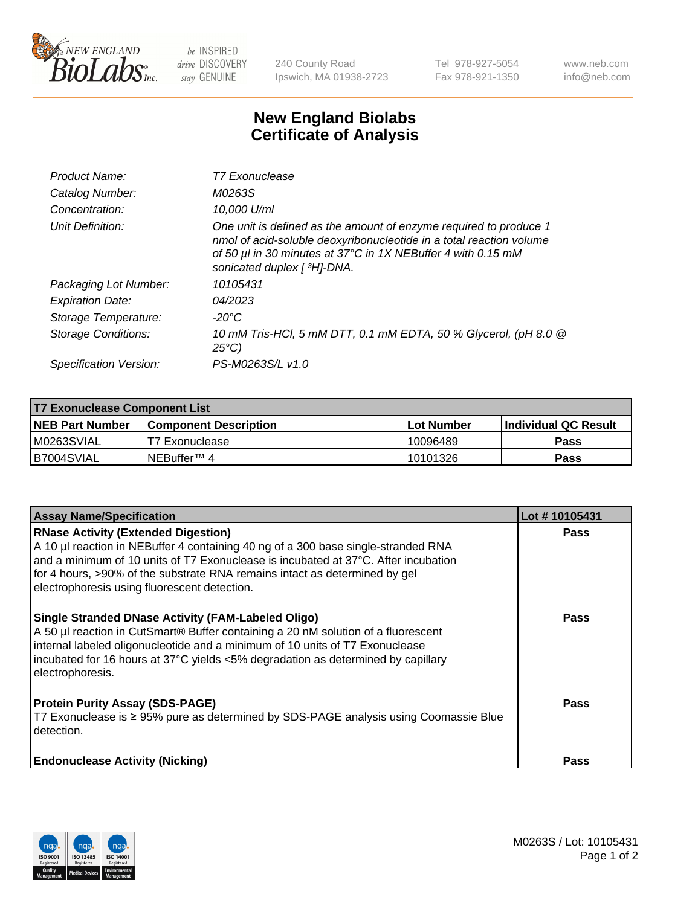

 $be$  INSPIRED drive DISCOVERY stay GENUINE

240 County Road Ipswich, MA 01938-2723 Tel 978-927-5054 Fax 978-921-1350 www.neb.com info@neb.com

## **New England Biolabs Certificate of Analysis**

| Product Name:           | T7 Exonuclease                                                                                                                                                                                                                          |
|-------------------------|-----------------------------------------------------------------------------------------------------------------------------------------------------------------------------------------------------------------------------------------|
| Catalog Number:         | M0263S                                                                                                                                                                                                                                  |
| Concentration:          | 10,000 U/ml                                                                                                                                                                                                                             |
| Unit Definition:        | One unit is defined as the amount of enzyme required to produce 1<br>nmol of acid-soluble deoxyribonucleotide in a total reaction volume<br>of 50 µl in 30 minutes at 37°C in 1X NEBuffer 4 with 0.15 mM<br>sonicated duplex [ 3H]-DNA. |
| Packaging Lot Number:   | 10105431                                                                                                                                                                                                                                |
| <b>Expiration Date:</b> | 04/2023                                                                                                                                                                                                                                 |
| Storage Temperature:    | -20°C                                                                                                                                                                                                                                   |
| Storage Conditions:     | 10 mM Tris-HCl, 5 mM DTT, 0.1 mM EDTA, 50 % Glycerol, (pH 8.0 @<br>$25^{\circ}C$                                                                                                                                                        |
| Specification Version:  | PS-M0263S/L v1.0                                                                                                                                                                                                                        |

| T7 Exonuclease Component List |                         |            |                       |  |  |
|-------------------------------|-------------------------|------------|-----------------------|--|--|
| <b>NEB Part Number</b>        | l Component Description | Lot Number | ∣Individual QC Result |  |  |
| IM0263SVIAL                   | T7 Exonuclease          | 10096489   | <b>Pass</b>           |  |  |
| B7004SVIAL                    | INEBuffer™ 4            | 10101326   | Pass                  |  |  |

| <b>Assay Name/Specification</b>                                                                                                                                                                                                                                                                                                                     | Lot #10105431 |
|-----------------------------------------------------------------------------------------------------------------------------------------------------------------------------------------------------------------------------------------------------------------------------------------------------------------------------------------------------|---------------|
| <b>RNase Activity (Extended Digestion)</b><br>A 10 µl reaction in NEBuffer 4 containing 40 ng of a 300 base single-stranded RNA<br>and a minimum of 10 units of T7 Exonuclease is incubated at 37°C. After incubation<br>for 4 hours, >90% of the substrate RNA remains intact as determined by gel<br>electrophoresis using fluorescent detection. | <b>Pass</b>   |
| <b>Single Stranded DNase Activity (FAM-Labeled Oligo)</b><br>A 50 µl reaction in CutSmart® Buffer containing a 20 nM solution of a fluorescent<br>internal labeled oligonucleotide and a minimum of 10 units of T7 Exonuclease<br>incubated for 16 hours at 37°C yields <5% degradation as determined by capillary<br>electrophoresis.              | <b>Pass</b>   |
| <b>Protein Purity Assay (SDS-PAGE)</b><br>T7 Exonuclease is ≥ 95% pure as determined by SDS-PAGE analysis using Coomassie Blue<br>detection.                                                                                                                                                                                                        | <b>Pass</b>   |
| <b>Endonuclease Activity (Nicking)</b>                                                                                                                                                                                                                                                                                                              | <b>Pass</b>   |